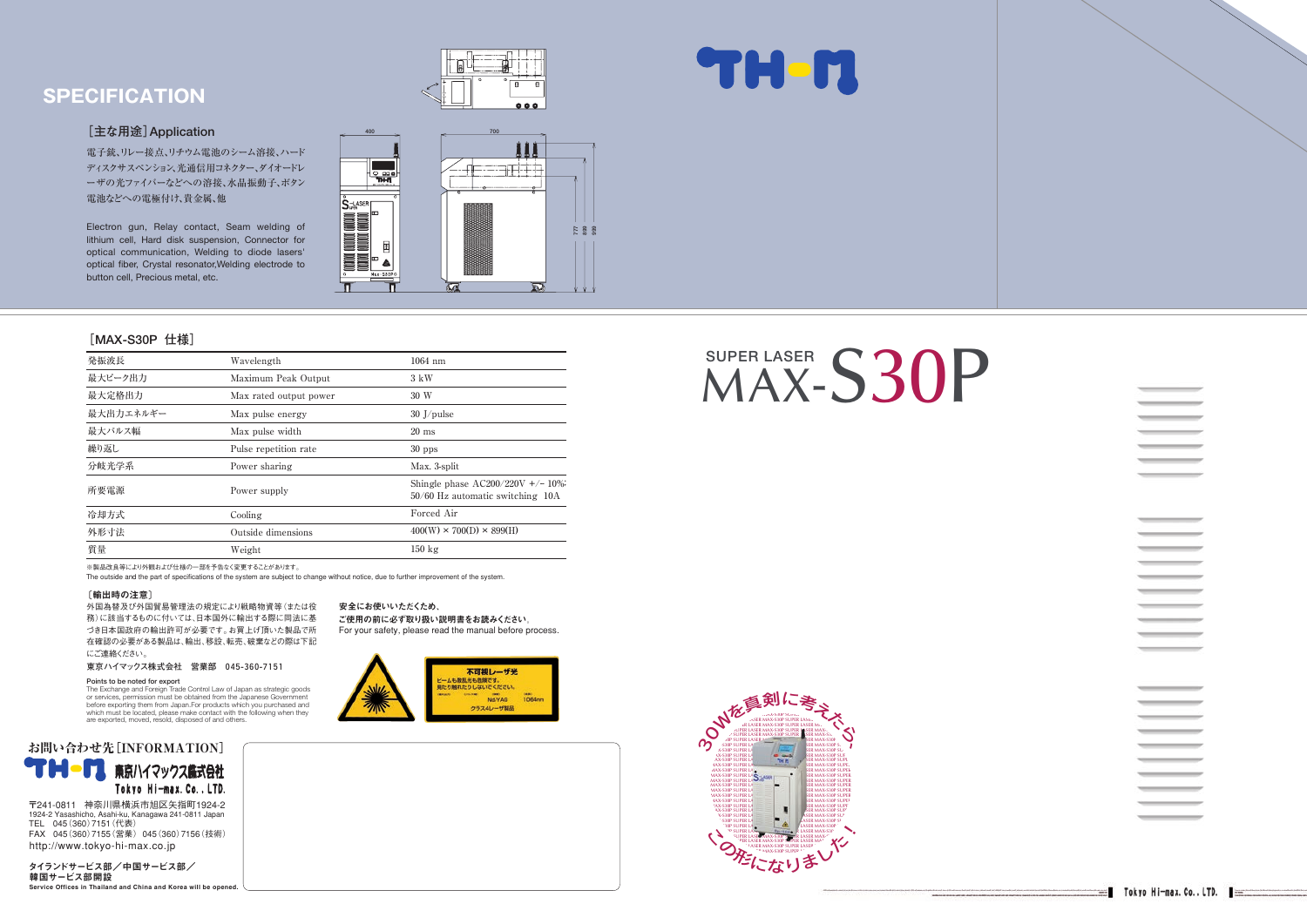※製品改良等により外観および仕様の一部を予告なく変更することがあります。

The outside and the part of specifications of the system are subject to change without notice, due to further improvement of the system.



安全にお使いいただくため、

ご使用の前に必ず取り扱い説明書をお読みください。 For your safety, please read the manual before process.



#### **[MAX-S30P 仕様]**

#### **[主な用途]Application�**

電子銃、リレー接点、リチウム電池のシーム溶接、ハード ディスクサスペンション、光通信用コネクター、ダイオードレ ーザの光ファイバーなどへの溶接、水晶振動子、ボタン 電池などへの電極付け、貴金属、他

#### タイランドサービス部/中国サービス部/� 韓国サービス部開設� Service Offices in Thailand and China and Korea will be opened.

Electron gun, Relay contact, Seam welding of lithium cell, Hard disk suspension, Connector for optical communication, Welding to diode lasers' optical fiber, Crystal resonator,Welding electrode to button cell, Precious metal, etc.





〒241-0811 神奈川県横浜市旭区矢指町1924-2� 1924-2 Yasashicho, Asahi-ku, Kanagawa 241-0811 Japan� TEL 045(360)7151(代表) FAX 045(360)7155(営業) 045(360)7156(技術) http://www.tokyo-hi-max.co.jp

| 発振波長      | Wavelength             | $1064$ nm                                                               |
|-----------|------------------------|-------------------------------------------------------------------------|
| 最大ピーク出力   | Maximum Peak Output    | 3 kW                                                                    |
| 最大定格出力    | Max rated output power | 30 W                                                                    |
| 最大出力エネルギー | Max pulse energy       | $30$ J/pulse                                                            |
| 最大パルス幅    | Max pulse width        | $20 \text{ ms}$                                                         |
| 繰り返し      | Pulse repetition rate  | $30$ pps                                                                |
| 分岐光学系     | Power sharing          | Max. 3-split                                                            |
| 所要電源      | Power supply           | Shingle phase $AC200/220V +/- 10\%$<br>50/60 Hz automatic switching 10A |
| 冷却方式      | Cooling                | Forced Air                                                              |
| 外形寸法      | Outside dimensions     | $400(W) \times 700(D) \times 899(H)$                                    |
| 質量        | Weight                 | $150 \text{ kg}$                                                        |

# **SPECIFICATION**

#### 〔輸出時の注意〕

外国為替及び外国貿易管理法の規定により戦略物資等(または役 務)に該当するものに付いては、日本国外に輸出する際に同法に基 づき日本国政府の輸出許可が必要です。お買上げ頂いた製品で所 在確認の必要がある製品は、輸出、移設、転売、破棄などの際は下記 にご連絡ください。

**東京ハイマックス株式会社 営業部 045-360-7151�**

#### Points to be noted for export

The Exchange and Foreign Trade Control Law of Japan as strategic goods or services, permission must be obtained from the Japanese Government before exporting them from Japan.For products which you purchased and which must be located, please make contact with the following when they are exported, moved, resold, disposed of and others.





# SUPER LASER S30P



\_\_ \_\_\_  $\sim$  $\equiv$  $\sim$